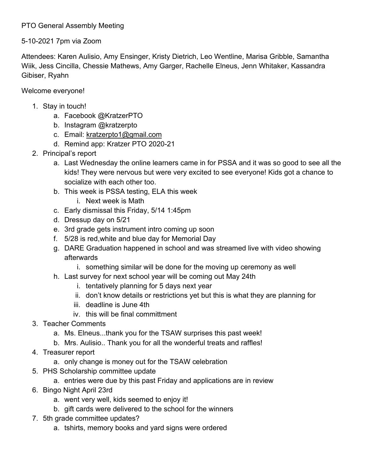## PTO General Assembly Meeting

## 5-10-2021 7pm via Zoom

Attendees: Karen Aulisio, Amy Ensinger, Kristy Dietrich, Leo Wentline, Marisa Gribble, Samantha Wiik, Jess Cincilla, Chessie Mathews, Amy Garger, Rachelle Elneus, Jenn Whitaker, Kassandra Gibiser, Ryahn

Welcome everyone!

- 1. Stay in touch!
	- a. Facebook @KratzerPTO
	- b. Instagram @kratzerpto
	- c. Email: [kratzerpto1@gmail.com](mailto:kratzerpto1@gmail.com)
	- d. Remind app: Kratzer PTO 2020-21
- 2. Principal's report
	- a. Last Wednesday the online learners came in for PSSA and it was so good to see all the kids! They were nervous but were very excited to see everyone! Kids got a chance to socialize with each other too.
	- b. This week is PSSA testing, ELA this week
		- i. Next week is Math
	- c. Early dismissal this Friday, 5/14 1:45pm
	- d. Dressup day on 5/21
	- e. 3rd grade gets instrument intro coming up soon
	- f. 5/28 is red,white and blue day for Memorial Day
	- g. DARE Graduation happened in school and was streamed live with video showing afterwards
		- i. something similar will be done for the moving up ceremony as well
	- h. Last survey for next school year will be coming out May 24th
		- i. tentatively planning for 5 days next year
		- ii. don't know details or restrictions yet but this is what they are planning for
		- iii. deadline is June 4th
		- iv. this will be final committment
- 3. Teacher Comments
	- a. Ms. Elneus...thank you for the TSAW surprises this past week!
	- b. Mrs. Aulisio.. Thank you for all the wonderful treats and raffles!
- 4. Treasurer report
	- a. only change is money out for the TSAW celebration
- 5. PHS Scholarship committee update
	- a. entries were due by this past Friday and applications are in review
- 6. Bingo Night April 23rd
	- a. went very well, kids seemed to enjoy it!
	- b. gift cards were delivered to the school for the winners
- 7. 5th grade committee updates?
	- a. tshirts, memory books and yard signs were ordered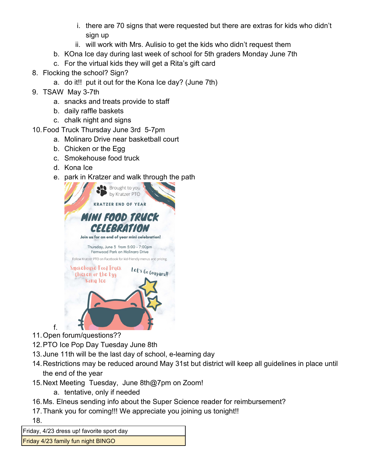- i. there are 70 signs that were requested but there are extras for kids who didn't sign up
- ii. will work with Mrs. Aulisio to get the kids who didn't request them
- b. KOna Ice day during last week of school for 5th graders Monday June 7th
- c. For the virtual kids they will get a Rita's gift card
- 8. Flocking the school? Sign?
	- a. do it!! put it out for the Kona Ice day? (June 7th)
- 9. TSAW May 3-7th
	- a. snacks and treats provide to staff
	- b. daily raffle baskets
	- c. chalk night and signs
- 10.Food Truck Thursday June 3rd 5-7pm
	- a. Molinaro Drive near basketball court
	- b. Chicken or the Egg
	- c. Smokehouse food truck
	- d. Kona Ice
	- e. park in Kratzer and walk through the path



11.Open forum/questions??

f.

- 12.PTO Ice Pop Day Tuesday June 8th
- 13.June 11th will be the last day of school, e-learning day
- 14.Restrictions may be reduced around May 31st but district will keep all guidelines in place until the end of the year
- 15.Next Meeting Tuesday, June 8th@7pm on Zoom!
	- a. tentative, only if needed
- 16.Ms. Elneus sending info about the Super Science reader for reimbursement?
- 17.Thank you for coming!!! We appreciate you joining us tonight!!

18.

Friday, 4/23 dress up! favorite sport day

Friday 4/23 family fun night BINGO